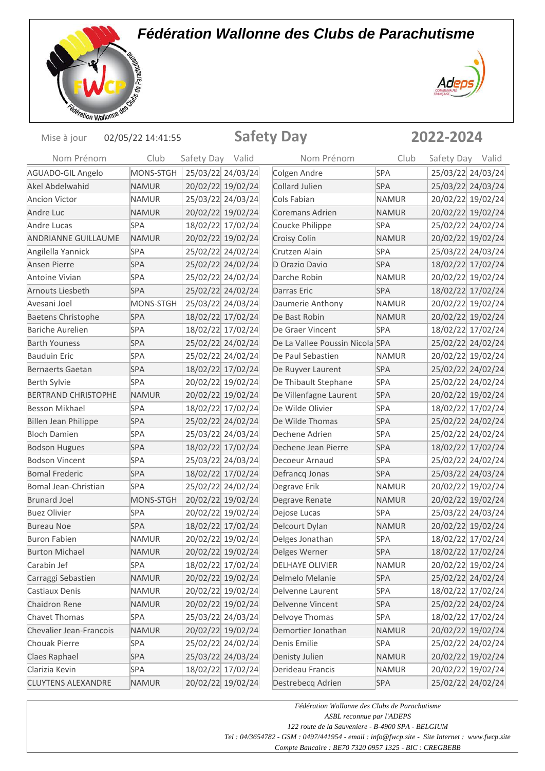**Safety Day**



Mise à jour 02/05/22 14:41:55



**2022-2024**

### Nom Prénom Club Safety Day Valid Nom Prénom Club Safety Day Valid AGUADO-GIL Angelo MONS-STGH 25/03/22 24/03/24 Akel Abdelwahid NAMUR 20/02/22 19/02/24 Ancion Victor **NAMUR** 25/03/22 24/03/24 Andre Luc NAMUR 20/02/22 19/02/24 Andre Lucas SPA 18/02/22 17/02/24 ANDRIANNE GUILLAUME NAMUR 20/02/22 19/02/24 Angilella Yannick SPA 25/02/22 24/02/24 Ansen Pierre SPA 25/02/22 24/02/24 Antoine Vivian SPA 25/02/22 24/02/24 Arnouts Liesbeth SPA 25/02/22 24/02/24 Avesani Joel MONS-STGH 25/03/22 24/03/24 Baetens Christophe SPA 18/02/22 17/02/24 Bariche Aurelien SPA 18/02/22 17/02/24 Barth Youness SPA 25/02/22 24/02/24 Bauduin Eric SPA 25/02/22 24/02/24 Bernaerts Gaetan SPA 18/02/22 17/02/24 Berth Sylvie SPA 20/02/22 19/02/24 BERTRAND CHRISTOPHE NAMUR 20/02/22 19/02/24 Besson Mikhael SPA 18/02/22 17/02/24 Billen Jean Philippe SPA 25/02/22 24/02/24 Bloch Damien SPA 25/03/22 24/03/24 Bodson Hugues SPA 18/02/22 17/02/24 Bodson Vincent SPA 25/03/22 24/03/24 Bomal Frederic SPA 18/02/22 17/02/24 Bomal Jean-Christian SPA 25/02/22 24/02/24 Brunard Joel MONS-STGH 20/02/22 19/02/24 Buez Olivier SPA 20/02/22 19/02/24 Bureau Noe SPA 18/02/22 17/02/24 Buron Fabien NAMUR 20/02/22 19/02/24 Burton Michael NAMUR 20/02/22 19/02/24 Carabin Jef SPA 18/02/22 17/02/24 Carraggi Sebastien NAMUR 20/02/22 19/02/24 Castiaux Denis NAMUR 20/02/22 19/02/24 Chaidron Rene NAMUR 20/02/22 19/02/24 Chavet Thomas SPA 25/03/22 24/03/24 Chevalier Jean-Francois NAMUR 20/02/22 19/02/24 Chouak Pierre SPA 25/02/22 24/02/24 Claes Raphael SPA 25/03/22 24/03/24 Clarizia Kevin SPA 18/02/22 17/02/24 CLUYTENS ALEXANDRE NAMUR 20/02/22 19/02/24 Colgen Andre SPA 25/03/22 24/03/24 Collard Julien SPA 25/03/22 24/03/24 Cols Fabian NAMUR 20/02/22 19/02/24 Coremans Adrien NAMUR 20/02/22 19/02/24 Coucke Philippe SPA 25/02/22 24/02/24 Croisy Colin NAMUR 20/02/22 19/02/24 Crutzen Alain SPA 25/03/22 24/03/24 D Orazio Davio SPA 18/02/22 17/02/24 Darche Robin NAMUR 20/02/22 19/02/24 Darras Eric SPA 18/02/22 17/02/24 Daumerie Anthony NAMUR 20/02/22 19/02/24 De Bast Robin NAMUR 20/02/22 19/02/24 De Graer Vincent SPA 18/02/22 17/02/24 De La Vallee Poussin Nicola SPA 25/02/22 24/02/24 De Paul Sebastien MAMUR 20/02/22 19/02/24 De Ruyver Laurent SPA 25/02/22 24/02/24 De Thibault Stephane SPA 25/02/22 24/02/24 De Villenfagne Laurent SPA 20/02/22 19/02/24 De Wilde Olivier SPA 18/02/22 17/02/24 De Wilde Thomas SPA 25/02/22 24/02/24 Dechene Adrien SPA 25/02/22 24/02/24 Dechene Jean Pierre SPA 18/02/22 17/02/24 Decoeur Arnaud SPA 25/02/22 24/02/24 Defrancq Jonas SPA 25/03/22 24/03/24 Degrave Erik NAMUR 20/02/22 19/02/24 Degrave Renate NAMUR 20/02/22 19/02/24 Dejose Lucas SPA 25/03/22 24/03/24 Delcourt Dylan NAMUR 20/02/22 19/02/24 Delges Jonathan SPA 18/02/22 17/02/24 Delges Werner SPA 18/02/22 17/02/24 DELHAYE OLIVIER NAMUR 20/02/22 19/02/24 Delmelo Melanie SPA 25/02/22 24/02/24 Delvenne Laurent SPA 18/02/22 17/02/24 Delvenne Vincent SPA 25/02/22 24/02/24 Delvoye Thomas SPA 18/02/22 17/02/24 Demortier Jonathan NAMUR 20/02/22 19/02/24 Denis Emilie SPA 25/02/22 24/02/24 Denisty Julien NAMUR 20/02/22 19/02/24 Derideau Francis NAMUR 20/02/22 19/02/24 Destrebecq Adrien SPA 25/02/22 24/02/24

*Fédération Wallonne des Clubs de Parachutisme 122 route de la Sauveniere - B-4900 SPA - BELGIUM Tel : 04/3654782 - GSM : 0497/441954 - email : info@fwcp.site - Site Internet : www.fwcp.site Compte Bancaire : BE70 7320 0957 1325 - BIC : CREGBEBB ASBL reconnue par l'ADEPS*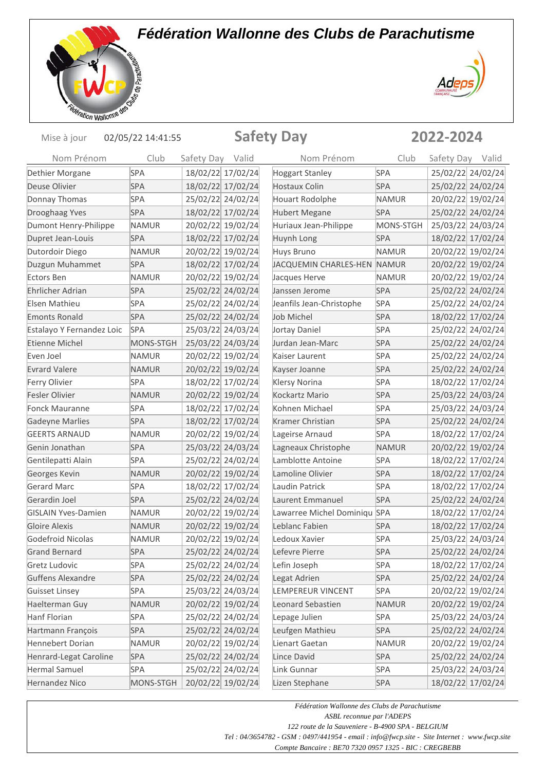

Hernandez Nico MONS-STGH 20/02/22 19/02/24



#### **Safety Day** Nom Prénom Club Safety Day Valid **2022-2024** Nom Prénom Club Safety Day Valid Mise à jour 02/05/22 14:41:55 Dethier Morgane SPA 18/02/22 17/02/24 Deuse Olivier SPA 18/02/22 17/02/24 Donnay Thomas SPA 25/02/22 24/02/24 Drooghaag Yves SPA 18/02/22 17/02/24 Dumont Henry-Philippe NAMUR 20/02/22 19/02/24 Dupret Jean-Louis SPA 18/02/22 17/02/24 Dutordoir Diego NAMUR 20/02/22 19/02/24 Duzgun Muhammet SPA 18/02/22 17/02/24 Ectors Ben NAMUR 20/02/22 19/02/24 Ehrlicher Adrian SPA 25/02/22 24/02/24 Elsen Mathieu SPA 25/02/22 24/02/24 Emonts Ronald SPA 25/02/22 24/02/24 Estalayo Y Fernandez Loic SPA  $25/03/22$  24/03/24 Etienne Michel MONS-STGH 25/03/22 24/03/24 Even Joel NAMUR 20/02/22 19/02/24 Evrard Valere NAMUR 20/02/22 19/02/24 Ferry Olivier SPA 18/02/22 17/02/24 Fesler Olivier NAMUR 20/02/22 19/02/24 Fonck Mauranne SPA 18/02/22 17/02/24 Gadeyne Marlies SPA 18/02/22 17/02/24 GEERTS ARNAUD NAMUR 20/02/22 19/02/24 Genin Jonathan SPA 25/03/22 24/03/24 Gentilepatti Alain SPA 25/02/22 24/02/24 Georges Kevin NAMUR 20/02/22 19/02/24 Gerard Marc 5PA 18/02/22 17/02/24 Gerardin Joel SPA 25/02/22 24/02/24 GISLAIN Yves-Damien NAMUR 20/02/22 19/02/24 Gloire Alexis NAMUR 20/02/22 19/02/24 Godefroid Nicolas NAMUR 20/02/22 19/02/24 Grand Bernard SPA 25/02/22 24/02/24 Gretz Ludovic SPA 25/02/22 24/02/24 Guffens Alexandre SPA 25/02/22 24/02/24 Guisset Linsey SPA 25/03/22 24/03/24 Haelterman Guy NAMUR 20/02/22 19/02/24 Hanf Florian SPA 25/02/22 24/02/24 Hartmann François SPA 25/02/22 24/02/24 Hennebert Dorian NAMUR 20/02/22 19/02/24 Henrard-Legat Caroline SPA 25/02/22 24/02/24 Hermal Samuel SPA 25/02/22 24/02/24 Hoggart Stanley SPA 25/02/22 24/02/24 Hostaux Colin SPA 25/02/22 24/02/24 Houart Rodolphe NAMUR 20/02/22 19/02/24 Hubert Megane SPA 25/02/22 24/02/24 Huriaux Jean-Philippe MONS-STGH 25/03/22 24/03/24 Huynh Long SPA 18/02/22 17/02/24 Huys Bruno NAMUR 20/02/22 19/02/24 JACQUEMIN CHARLES-HEN NAMUR 20/02/22 19/02/24 Jacques Herve MAMUR 20/02/22 19/02/24 Janssen Jerome SPA 25/02/22 24/02/24 Jeanfils Jean-Christophe SPA 25/02/22 24/02/24 Job Michel SPA 18/02/22 17/02/24 Jortay Daniel SPA 25/02/22 24/02/24 Jurdan Jean-Marc SPA 25/02/22 24/02/24 Kaiser Laurent SPA 25/02/22 24/02/24 Kayser Joanne SPA 25/02/22 24/02/24 Klersy Norina SPA 18/02/22 17/02/24 Kockartz Mario SPA 25/03/22 24/03/24 Kohnen Michael SPA 25/03/22 24/03/24 Kramer Christian SPA 25/02/22 24/02/24 Lageirse Arnaud SPA 18/02/22 17/02/24 Lagneaux Christophe NAMUR 20/02/22 19/02/24 Lamblotte Antoine SPA 18/02/22 17/02/24 Lamoline Olivier  $\overline{SPA}$  18/02/22 17/02/24 Laudin Patrick SPA 18/02/22 17/02/24 Laurent Emmanuel SPA 25/02/22 24/02/24 Lawarree Michel Dominiqu SPA 18/02/22 17/02/24 Leblanc Fabien SPA 18/02/22 17/02/24 Ledoux Xavier SPA 25/03/22 24/03/24 Lefevre Pierre SPA 25/02/22 24/02/24 Lefin Joseph SPA 18/02/22 17/02/24 Legat Adrien SPA 25/02/22 24/02/24 LEMPEREUR VINCENT SPA 20/02/22 19/02/24 Leonard Sebastien MAMUR 20/02/22 19/02/24 Lepage Julien SPA 25/03/22 24/03/24 Leufgen Mathieu SPA 25/02/22 24/02/24 Lienart Gaetan MAMUR 20/02/22 19/02/24 Lince David SPA 25/02/22 24/02/24 Link Gunnar SPA 25/03/22 24/03/24

*Fédération Wallonne des Clubs de Parachutisme 122 route de la Sauveniere - B-4900 SPA - BELGIUM Tel : 04/3654782 - GSM : 0497/441954 - email : info@fwcp.site - Site Internet : www.fwcp.site Compte Bancaire : BE70 7320 0957 1325 - BIC : CREGBEBB ASBL reconnue par l'ADEPS*

Lizen Stephane SPA 18/02/22 17/02/24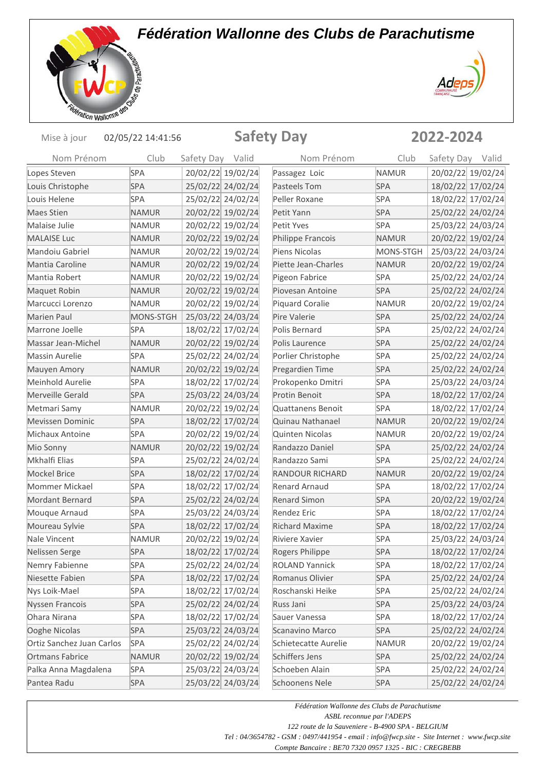**Safety Day**



Mise à jour 02/05/22 14:41:56



**2022-2024**

### Nom Prénom Club Safety Day Valid Nom Prénom Club Safety Day Valid Lopes Steven SPA 20/02/22 19/02/24 Louis Christophe SPA 25/02/22 24/02/24 Louis Helene SPA 25/02/22 24/02/24 Maes Stien NAMUR 20/02/22 19/02/24 Malaise Julie **NAMUR** 20/02/22 19/02/24 MALAISE Luc NAMUR 20/02/22 19/02/24 Mandoiu Gabriel NAMUR 20/02/22 19/02/24 Mantia Caroline NAMUR 20/02/22 19/02/24 Mantia Robert NAMUR 20/02/22 19/02/24 Maquet Robin NAMUR 20/02/22 19/02/24 Marcucci Lorenzo NAMUR 20/02/22 19/02/24 Marien Paul MONS-STGH 25/03/22 24/03/24 Marrone Joelle SPA 18/02/22 17/02/24 Massar Jean-Michel NAMUR 20/02/22 19/02/24 Massin Aurelie SPA 25/02/22 24/02/24 Mauyen Amory NAMUR 20/02/22 19/02/24 Meinhold Aurelie SPA 18/02/22 17/02/24 Merveille Gerald SPA 25/03/22 24/03/24 Metmari Samy NAMUR 20/02/22 19/02/24 Mevissen Dominic SPA 18/02/22 17/02/24 Michaux Antoine SPA 20/02/22 19/02/24 Mio Sonny NAMUR 20/02/22 19/02/24 Mkhalfi Elias 5PA 25/02/22 24/02/24 Mockel Brice SPA 18/02/22 17/02/24 Mommer Mickael SPA 18/02/22 17/02/24 Mordant Bernard SPA 25/02/22 24/02/24 Mouque Arnaud SPA 25/03/22 24/03/24 Moureau Sylvie SPA 18/02/22 17/02/24 Nale Vincent NAMUR 20/02/22 19/02/24 Nelissen Serge SPA 18/02/22 17/02/24 Nemry Fabienne SPA 25/02/22 24/02/24 Niesette Fabien SPA 18/02/22 17/02/24 Nys Loik-Mael SPA 18/02/22 17/02/24 Nyssen Francois SPA 25/02/22 24/02/24 Ohara Nirana SPA 18/02/22 17/02/24 Ooghe Nicolas SPA 25/03/22 24/03/24 Ortiz Sanchez Juan Carlos SPA 25/02/22 24/02/24 Ortmans Fabrice NAMUR 20/02/22 19/02/24 Palka Anna Magdalena SPA 25/03/22 24/03/24 Pantea Radu SPA 25/03/22 24/03/24 Passagez Loic | NAMUR | 20/02/22 19/02/24 Pasteels Tom SPA 18/02/22 17/02/24 Peller Roxane SPA 18/02/22 17/02/24 Petit Yann SPA 25/02/22 24/02/24 Petit Yves SPA 25/03/22 24/03/24 Philippe Francois MAMUR 20/02/22 19/02/24 Piens Nicolas MONS-STGH 25/03/22 24/03/24 Piette Jean-Charles MAMUR 20/02/22 19/02/24 Pigeon Fabrice SPA 25/02/22 24/02/24 Piovesan Antoine SPA 25/02/22 24/02/24 Piquard Coralie NAMUR 20/02/22 19/02/24 Pire Valerie  $SPA$  25/02/22 24/02/24 Polis Bernard SPA 25/02/22 24/02/24 Polis Laurence SPA 25/02/22 24/02/24 Porlier Christophe SPA 25/02/22 24/02/24 Pregardien Time SPA 25/02/22 24/02/24 Prokopenko Dmitri SPA 25/03/22 24/03/24 Protin Benoit SPA 18/02/22 17/02/24 Quattanens Benoit SPA 18/02/22 17/02/24 Quinau Nathanael NAMUR 20/02/22 19/02/24 Quinten Nicolas MAMUR 20/02/22 19/02/24 Randazzo Daniel SPA 25/02/22 24/02/24 Randazzo Sami SPA 25/02/22 24/02/24 RANDOUR RICHARD NAMUR 20/02/22 19/02/24 Renard Arnaud SPA 18/02/22 17/02/24 Renard Simon SPA 20/02/22 19/02/24 Rendez Eric SPA 18/02/22 17/02/24 Richard Maxime SPA 18/02/22 17/02/24 Riviere Xavier **SPA** 25/03/22 24/03/24 Rogers Philippe SPA 18/02/22 17/02/24 ROLAND Yannick SPA 18/02/22 17/02/24 Romanus Olivier SPA 25/02/22 24/02/24 Roschanski Heike SPA 25/02/22 24/02/24 Russ Jani SPA 25/03/22 24/03/24 Sauer Vanessa SPA 18/02/22 17/02/24 Scanavino Marco SPA 25/02/22 24/02/24 Schietecatte Aurelie MAMUR 20/02/22 19/02/24 Schiffers Jens SPA 25/02/22 24/02/24 Schoeben Alain SPA 25/02/22 24/02/24 Schoonens Nele SPA 25/02/22 24/02/24

*Fédération Wallonne des Clubs de Parachutisme 122 route de la Sauveniere - B-4900 SPA - BELGIUM Tel : 04/3654782 - GSM : 0497/441954 - email : info@fwcp.site - Site Internet : www.fwcp.site Compte Bancaire : BE70 7320 0957 1325 - BIC : CREGBEBB ASBL reconnue par l'ADEPS*